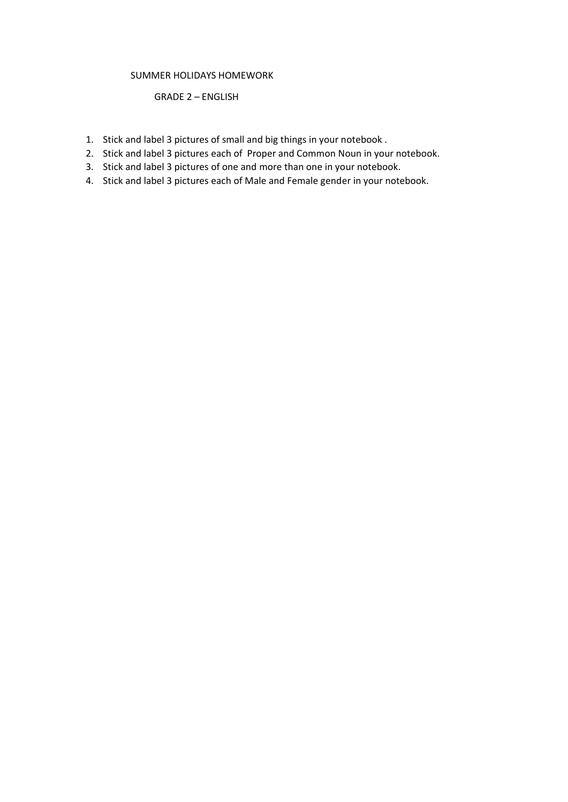#### SUMMER HOLIDAYS HOMEWORK

#### GRADE 2 – ENGLISH

- 1. Stick and label 3 pictures of small and big things in your notebook .
- 2. Stick and label 3 pictures each of Proper and Common Noun in your notebook.
- 3. Stick and label 3 pictures of one and more than one in your notebook.
- 4. Stick and label 3 pictures each of Male and Female gender in your notebook.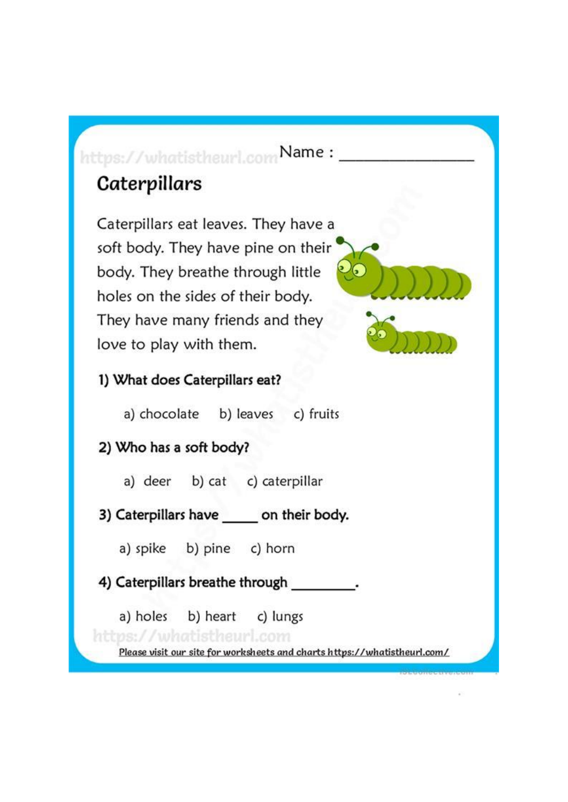# https://whatistheurl.com Name:

## Caterpillars

Caterpillars eat leaves. They have a soft body. They have pine on their body. They breathe through little holes on the sides of their body. They have many friends and they love to play with them.



### 1) What does Caterpillars eat?

b) leaves c) fruits a) chocolate

2) Who has a soft body?

b) cat c) caterpillar a) deer

### 3) Caterpillars have on their body.

b) pine c) horn a) spike

4) Caterpillars breathe through \_\_\_\_\_\_\_\_\_.

c) lungs a) holes b) heart

https://whatistheurl.com

Please visit our site for worksheets and charts https://whatistheurl.com/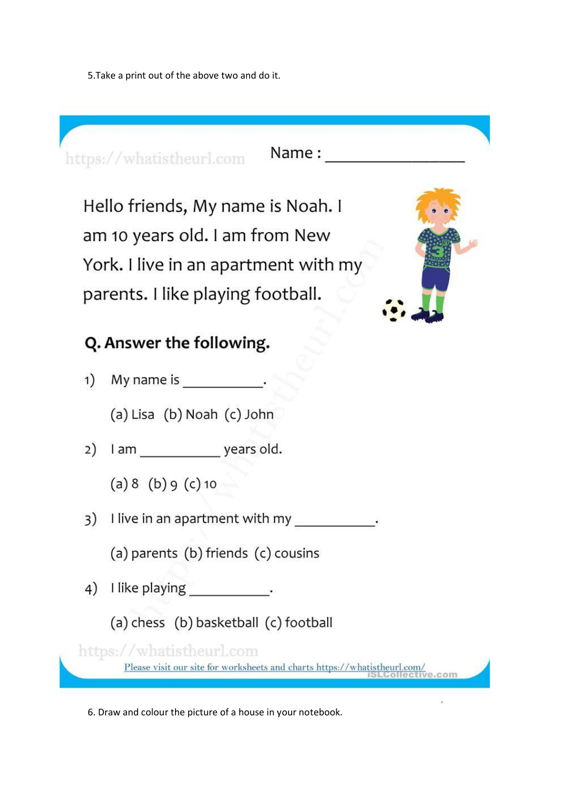5. Take a print out of the above two and do it.

https://whatistheurl.com

Name: 1

Hello friends, My name is Noah. I am 10 years old. I am from New York. I live in an apartment with my parents. I like playing football.



### Q. Answer the following.

- My name is the set of the set of the set of the set of the set of the set of the set of the set of the set of the set of the set of the set of the set of the set of the set of the set of the set of the set of the set of th  $1)$ (a) Lisa (b) Noah (c) John
- 2) I am \_\_\_\_\_\_\_\_\_\_\_\_\_\_\_\_ years old.
	- $(a) 8$   $(b) 9$   $(c) 10$
- I live in an apartment with my [11] .  $3)$ 
	- (a) parents (b) friends (c) cousins
- 4) I like playing \_\_\_\_\_\_\_\_\_\_\_\_\_.
	- (a) chess (b) basketball (c) football

### https://whatistheurl.com

Please visit our site for worksheets and charts https://whatistheurl.com/

6. Draw and colour the picture of a house in your notebook.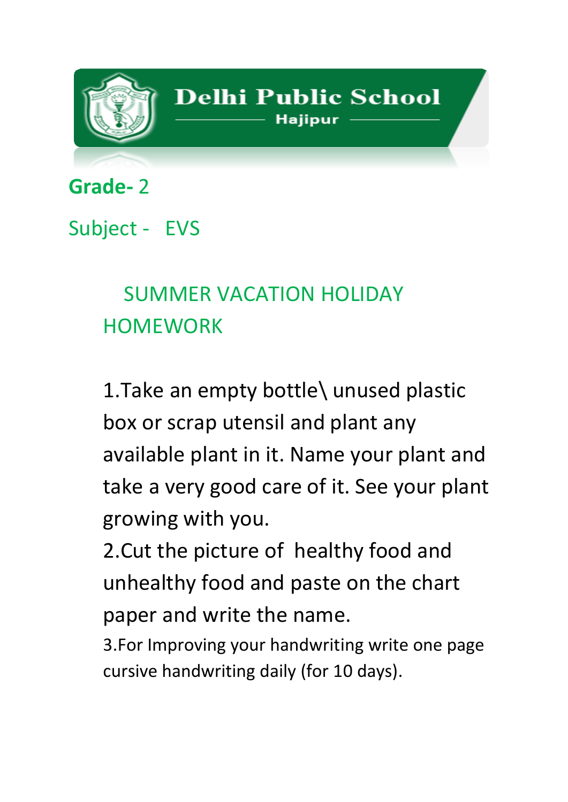

**Grade-** 2

Subject - EVS

# SUMMER VACATION HOLIDAY HOMEWORK

1.Take an empty bottle\ unused plastic box or scrap utensil and plant any available plant in it. Name your plant and take a very good care of it. See your plant growing with you.

2.Cut the picture of healthy food and unhealthy food and paste on the chart paper and write the name.

3.For Improving your handwriting write one page cursive handwriting daily (for 10 days).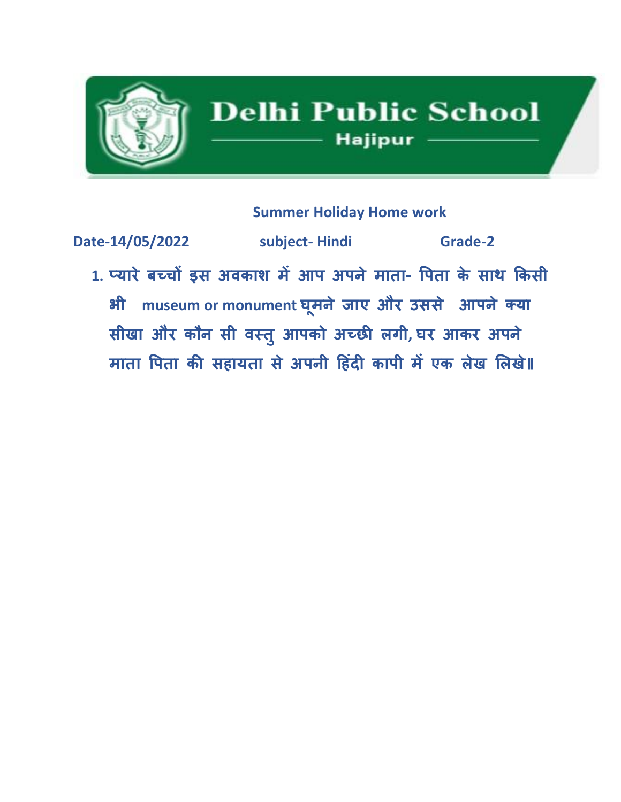

 **Summer Holiday Home work**

**Date-14/05/2022 subject- Hindi Grade-2 1. प्यारे बच्चों इस अवकाश मेंआप अपने माता- पपता के साथ ककसी भी museum or monument घ ू मने जाए और उससे आपने क्या सीखा और कौन सी वस्तु आपको अच्छी लगी, घर आकर अपने माता पपता की सहायता से अपनी हहिंदी कापी मेंएक लेख ललखे॥**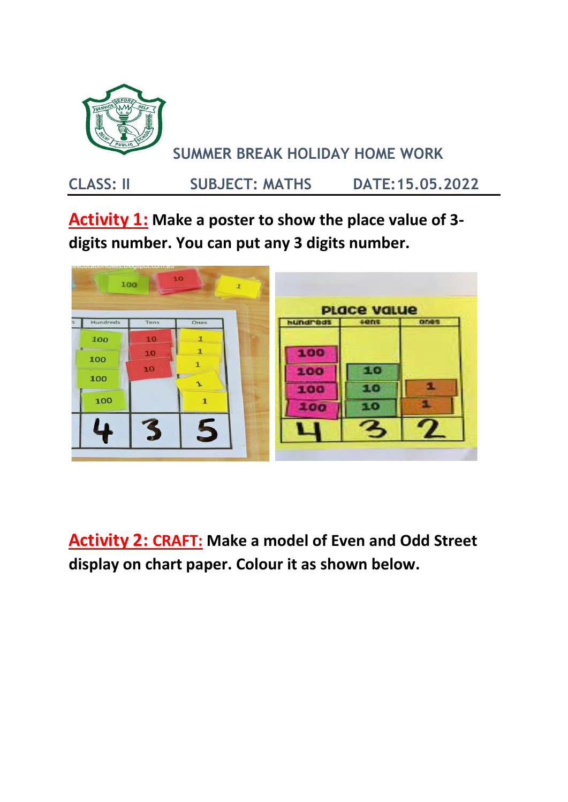

### **SUMMER BREAK HOLIDAY HOME WORK**

## **CLASS: II SUBJECT: MATHS DATE:15.05.2022**

**Activity 1: Make a poster to show the place value of 3 digits number. You can put any 3 digits number.**



**Activity 2: CRAFT: Make a model of Even and Odd Street display on chart paper. Colour it as shown below.**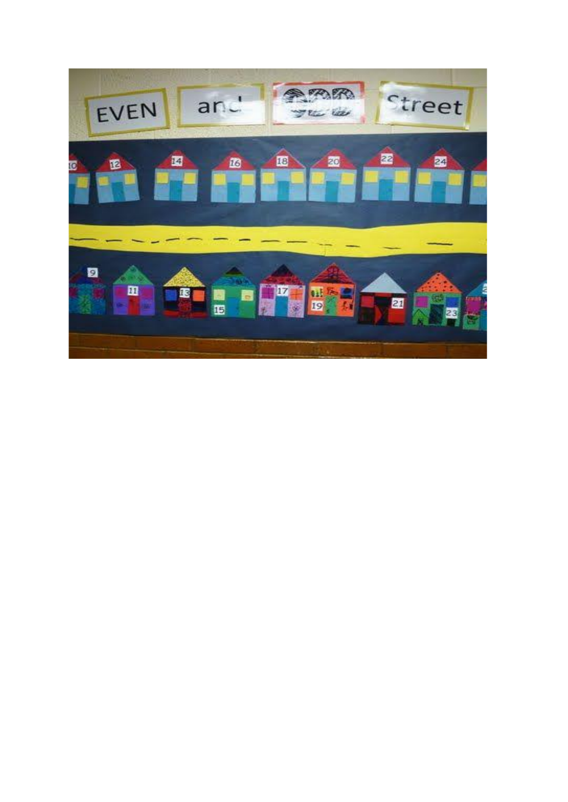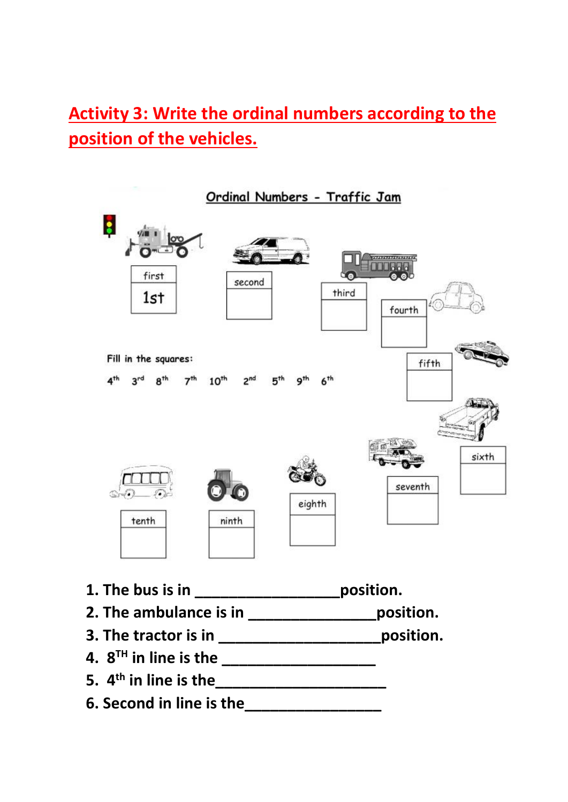## **Activity 3: Write the ordinal numbers according to the position of the vehicles.**



- **5. 4 th in line is the\_\_\_\_\_\_\_\_\_\_\_\_\_\_\_\_\_\_\_\_**
- **6. Second in line is the\_\_\_\_\_\_\_\_\_\_\_\_\_\_\_\_**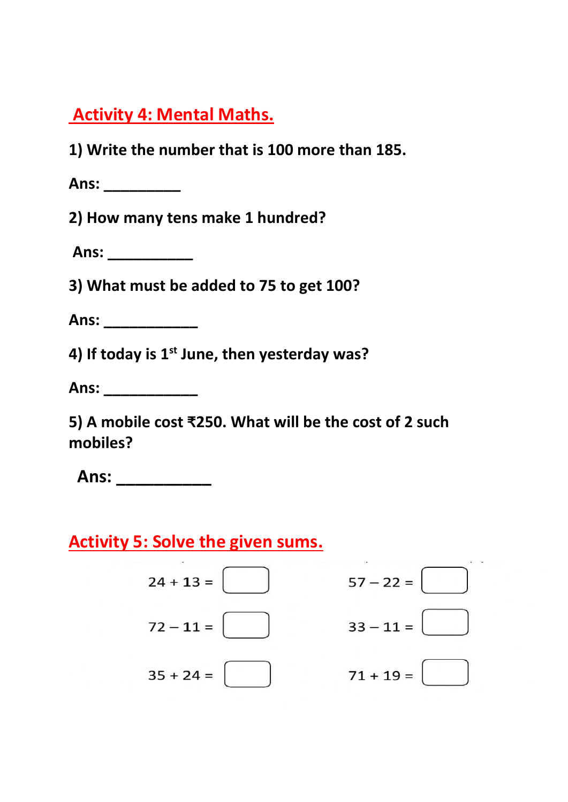**Activity 4: Mental Maths.** 

**1) Write the number that is 100 more than 185.** 

**Ans: \_\_\_\_\_\_\_\_\_**

**2) How many tens make 1 hundred?** 

**Ans: \_\_\_\_\_\_\_\_\_\_** 

**3) What must be added to 75 to get 100?** 

**Ans: \_\_\_\_\_\_\_\_\_\_\_**

**4) If today is 1st June, then yesterday was?**

**Ans: \_\_\_\_\_\_\_\_\_\_\_**

**5) A mobile cost ₹250. What will be the cost of 2 such mobiles?** 

Ans: \_\_\_\_\_\_\_\_\_\_\_

### **Activity 5: Solve the given sums.**

$$
24 + 13 = \square
$$
  
57 - 22 = \square  
72 - 11 = \square  
33 - 11 = \square  
35 + 24 = \square  
71 + 19 = \square